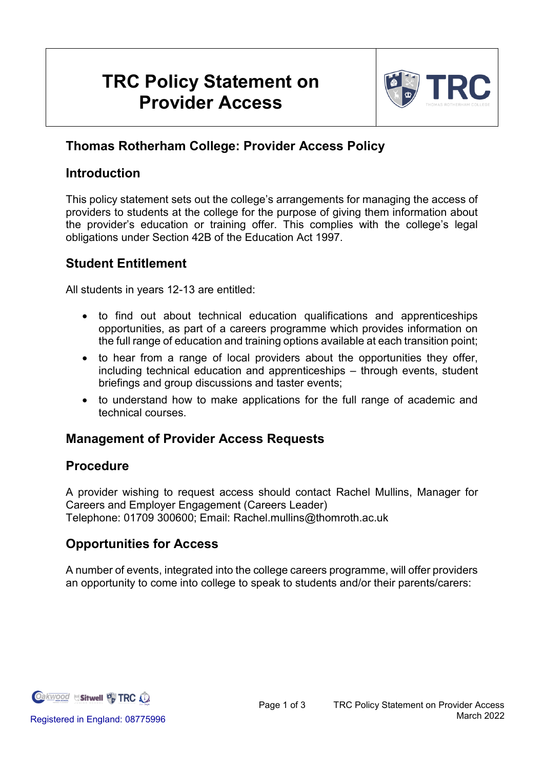# **TRC Policy Statement on Provider Access**



# **Thomas Rotherham College: Provider Access Policy**

## **Introduction**

This policy statement sets out the college's arrangements for managing the access of providers to students at the college for the purpose of giving them information about the provider's education or training offer. This complies with the college's legal obligations under Section 42B of the Education Act 1997.

## **Student Entitlement**

All students in years 12-13 are entitled:

- to find out about technical education qualifications and apprenticeships opportunities, as part of a careers programme which provides information on the full range of education and training options available at each transition point;
- to hear from a range of local providers about the opportunities they offer, including technical education and apprenticeships – through events, student briefings and group discussions and taster events;
- to understand how to make applications for the full range of academic and technical courses.

## **Management of Provider Access Requests**

#### **Procedure**

A provider wishing to request access should contact Rachel Mullins, Manager for Careers and Employer Engagement (Careers Leader) Telephone: 01709 300600; Email: Rachel.mullins@thomroth.ac.uk

# **Opportunities for Access**

A number of events, integrated into the college careers programme, will offer providers an opportunity to come into college to speak to students and/or their parents/carers:

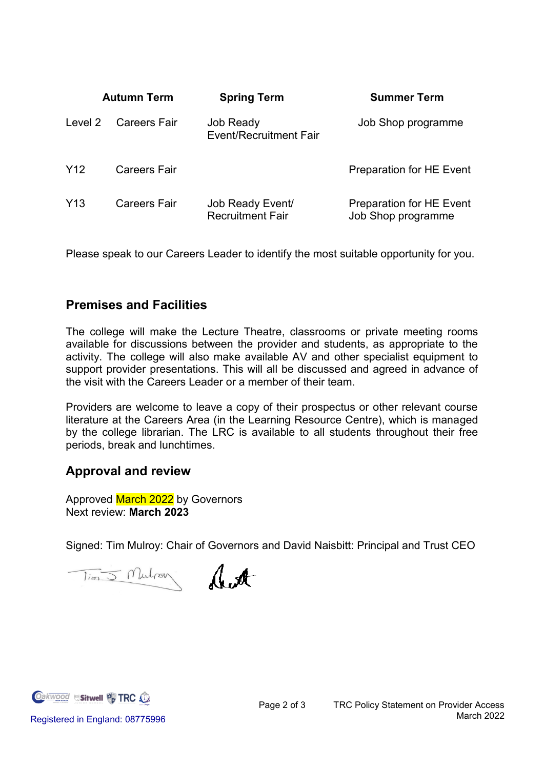| <b>Autumn Term</b> |                     | <b>Spring Term</b>                          | <b>Summer Term</b>                                    |
|--------------------|---------------------|---------------------------------------------|-------------------------------------------------------|
| Level 2            | Careers Fair        | Job Ready<br>Event/Recruitment Fair         | Job Shop programme                                    |
| Y <sub>12</sub>    | Careers Fair        |                                             | <b>Preparation for HE Event</b>                       |
| Y <sub>13</sub>    | <b>Careers Fair</b> | Job Ready Event/<br><b>Recruitment Fair</b> | <b>Preparation for HE Event</b><br>Job Shop programme |

Please speak to our Careers Leader to identify the most suitable opportunity for you.

#### **Premises and Facilities**

The college will make the Lecture Theatre, classrooms or private meeting rooms available for discussions between the provider and students, as appropriate to the activity. The college will also make available AV and other specialist equipment to support provider presentations. This will all be discussed and agreed in advance of the visit with the Careers Leader or a member of their team.

Providers are welcome to leave a copy of their prospectus or other relevant course literature at the Careers Area (in the Learning Resource Centre), which is managed by the college librarian. The LRC is available to all students throughout their free periods, break and lunchtimes.

#### **Approval and review**

Approved March 2022 by Governors Next review: **March 2023**

Signed: Tim Mulroy: Chair of Governors and David Naisbitt: Principal and Trust CEO

Tim 5 Mulron Red